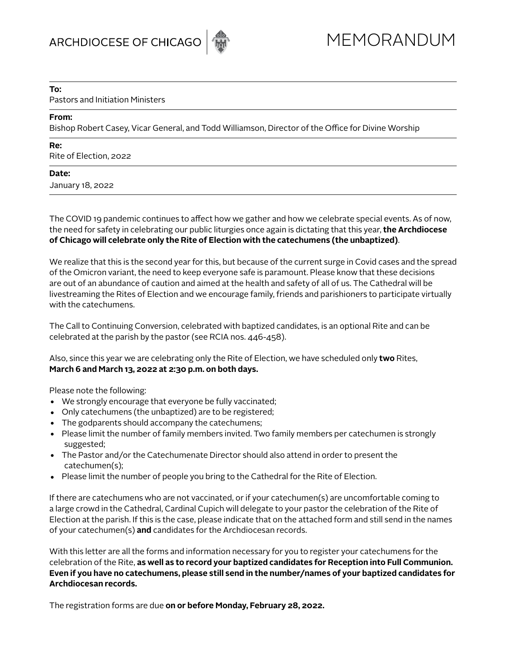#### **To:**

Pastors and Initiation Ministers

### **From:**

Bishop Robert Casey, Vicar General, and Todd Williamson, Director of the Office for Divine Worship

### **Re:**

Rite of Election, 2022

### **Date:**

January 18, 2022

The COVID 19 pandemic continues to affect how we gather and how we celebrate special events. As of now, the need for safety in celebrating our public liturgies once again is dictating that this year, **the Archdiocese of Chicago will celebrate only the Rite of Election with the catechumens (the unbaptized)**.

We realize that this is the second year for this, but because of the current surge in Covid cases and the spread of the Omicron variant, the need to keep everyone safe is paramount. Please know that these decisions are out of an abundance of caution and aimed at the health and safety of all of us. The Cathedral will be livestreaming the Rites of Election and we encourage family, friends and parishioners to participate virtually with the catechumens.

The Call to Continuing Conversion, celebrated with baptized candidates, is an optional Rite and can be celebrated at the parish by the pastor (see RCIA nos. 446-458).

Also, since this year we are celebrating only the Rite of Election, we have scheduled only **two** Rites, **March 6 and March 13, 2022 at 2:30 p.m. on both days.**

Please note the following:

- We strongly encourage that everyone be fully vaccinated;
- Only catechumens (the unbaptized) are to be registered;
- The godparents should accompany the catechumens;
- Please limit the number of family members invited. Two family members per catechumen is strongly suggested;
- The Pastor and/or the Catechumenate Director should also attend in order to present the catechumen(s);
- Please limit the number of people you bring to the Cathedral for the Rite of Election.

If there are catechumens who are not vaccinated, or if your catechumen(s) are uncomfortable coming to a large crowd in the Cathedral, Cardinal Cupich will delegate to your pastor the celebration of the Rite of Election at the parish. If this is the case, please indicate that on the attached form and still send in the names of your catechumen(s) **and** candidates for the Archdiocesan records.

With this letter are all the forms and information necessary for you to register your catechumens for the celebration of the Rite, **as well as to record your baptized candidates for Reception into Full Communion. Even if you have no catechumens, please still send in the number/names of your baptized candidates for Archdiocesan records.**

The registration forms are due **on or before Monday, February 28, 2022.**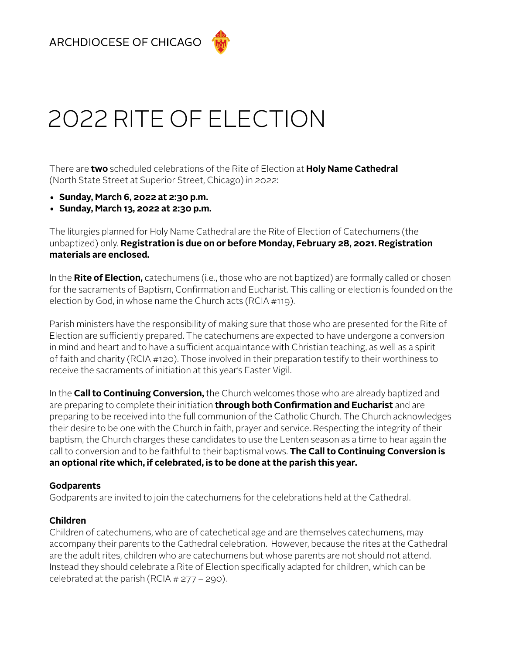# 2022 RITE OF ELECTION

There are **two** scheduled celebrations of the Rite of Election at **Holy Name Cathedral**  (North State Street at Superior Street, Chicago) in 2022:

- **• Sunday, March 6, 2022 at 2:30 p.m.**
- **• Sunday, March 13, 2022 at 2:30 p.m.**

The liturgies planned for Holy Name Cathedral are the Rite of Election of Catechumens (the unbaptized) only. **Registration is due on or before Monday, February 28, 2021. Registration materials are enclosed.**

In the **Rite of Election,** catechumens (i.e., those who are not baptized) are formally called or chosen for the sacraments of Baptism, Confirmation and Eucharist. This calling or election is founded on the election by God, in whose name the Church acts (RCIA #119).

Parish ministers have the responsibility of making sure that those who are presented for the Rite of Election are sufficiently prepared. The catechumens are expected to have undergone a conversion in mind and heart and to have a sufficient acquaintance with Christian teaching, as well as a spirit of faith and charity (RCIA #120). Those involved in their preparation testify to their worthiness to receive the sacraments of initiation at this year's Easter Vigil.

In the **Call to Continuing Conversion,** the Church welcomes those who are already baptized and are preparing to complete their initiation **through both Confirmation and Eucharist** and are preparing to be received into the full communion of the Catholic Church. The Church acknowledges their desire to be one with the Church in faith, prayer and service. Respecting the integrity of their baptism, the Church charges these candidates to use the Lenten season as a time to hear again the call to conversion and to be faithful to their baptismal vows. **The Call to Continuing Conversion is an optional rite which, if celebrated, is to be done at the parish this year.**

# **Godparents**

Godparents are invited to join the catechumens for the celebrations held at the Cathedral.

### **Children**

Children of catechumens, who are of catechetical age and are themselves catechumens, may accompany their parents to the Cathedral celebration. However, because the rites at the Cathedral are the adult rites, children who are catechumens but whose parents are not should not attend. Instead they should celebrate a Rite of Election specifically adapted for children, which can be celebrated at the parish (RCIA  $# 277 - 290$ ).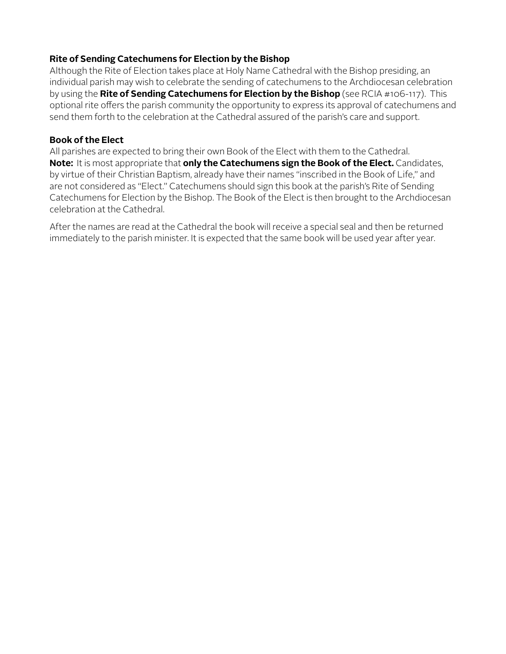# **Rite of Sending Catechumens for Election by the Bishop**

Although the Rite of Election takes place at Holy Name Cathedral with the Bishop presiding, an individual parish may wish to celebrate the sending of catechumens to the Archdiocesan celebration by using the **Rite of Sending Catechumens for Election by the Bishop** (see RCIA #106-117). This optional rite offers the parish community the opportunity to express its approval of catechumens and send them forth to the celebration at the Cathedral assured of the parish's care and support.

# **Book of the Elect**

All parishes are expected to bring their own Book of the Elect with them to the Cathedral. **Note:** It is most appropriate that **only the Catechumens sign the Book of the Elect.** Candidates, by virtue of their Christian Baptism, already have their names "inscribed in the Book of Life," and are not considered as "Elect." Catechumens should sign this book at the parish's Rite of Sending Catechumens for Election by the Bishop. The Book of the Elect is then brought to the Archdiocesan celebration at the Cathedral.

After the names are read at the Cathedral the book will receive a special seal and then be returned immediately to the parish minister. It is expected that the same book will be used year after year.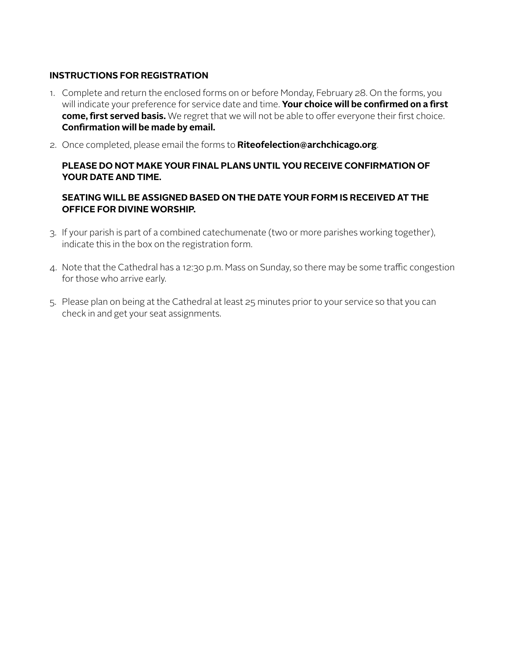# **INSTRUCTIONS FOR REGISTRATION**

- 1. Complete and return the enclosed forms on or before Monday, February 28. On the forms, you will indicate your preference for service date and time. **Your choice will be confirmed on a first come, first served basis.** We regret that we will not be able to offer everyone their first choice. **Confirmation will be made by email.**
- 2. Once completed, please email the forms to **[Riteofelection@archchicago.org](mailto:Riteofelection%40archchicago.org?subject=)**.

# **PLEASE DO NOT MAKE YOUR FINAL PLANS UNTIL YOU RECEIVE CONFIRMATION OF YOUR DATE AND TIME.**

# **SEATING WILL BE ASSIGNED BASED ON THE DATE YOUR FORM IS RECEIVED AT THE OFFICE FOR DIVINE WORSHIP.**

- 3. If your parish is part of a combined catechumenate (two or more parishes working together), indicate this in the box on the registration form.
- 4. Note that the Cathedral has a 12:30 p.m. Mass on Sunday, so there may be some traffic congestion for those who arrive early.
- 5. Please plan on being at the Cathedral at least 25 minutes prior to your service so that you can check in and get your seat assignments.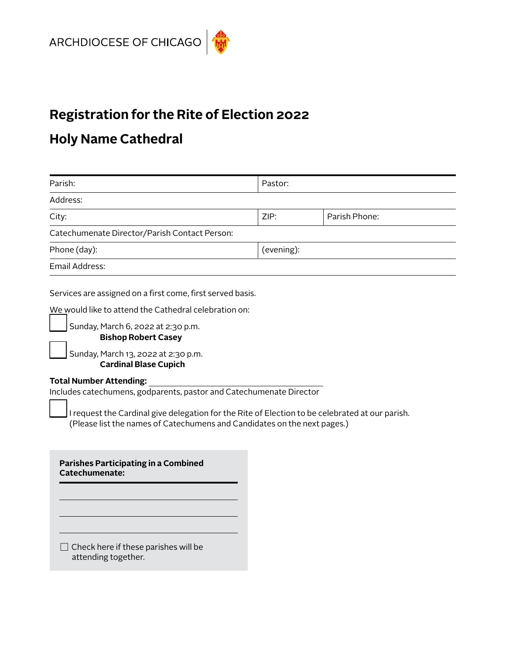

# **Registration for the Rite of Election 2022**

# **Holy Name Cathedral**

| Parish:                                       | Pastor:    |               |  |  |
|-----------------------------------------------|------------|---------------|--|--|
| Address:                                      |            |               |  |  |
| City:                                         | ZIP:       | Parish Phone: |  |  |
| Catechumenate Director/Parish Contact Person: |            |               |  |  |
| Phone (day):                                  | (evening): |               |  |  |
| Email Address:                                |            |               |  |  |

Services are assigned on a first come, first served basis.

We would like to attend the Cathedral celebration on:

Sunday, March 6, 2022 at 2:30 p.m.

**Bishop Robert Casey**

Sunday, March 13, 2022 at 2:30 p.m. **Cardinal Blase Cupich**

**Total Number Attending:**

Includes catechumens, godparents, pastor and Catechumenate Director

I request the Cardinal give delegation for the Rite of Election to be celebrated at our parish. (Please list the names of Catechumens and Candidates on the next pages.)

| <b>Parishes Participating in a Combined</b> |  |
|---------------------------------------------|--|
| Catechumenate:                              |  |

 $\Box$  Check here if these parishes will be attending together.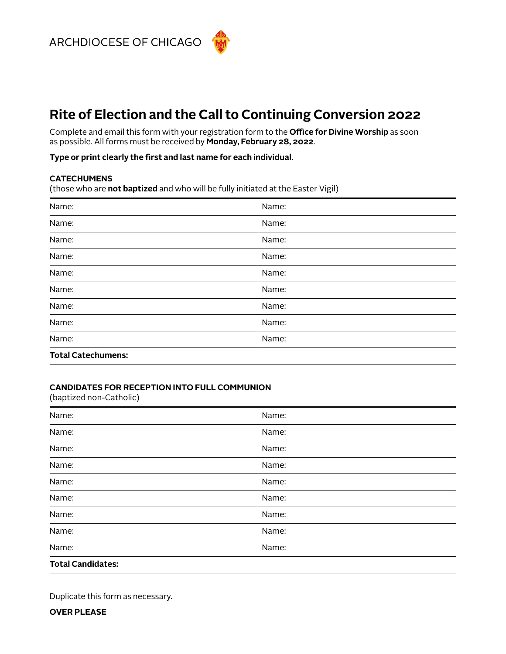# **Rite of Election and the Call to Continuing Conversion 2022**

Complete and email this form with your registration form to the **Office for Divine Worship** as soon as possible. All forms must be received by **Monday, February 28, 2022**.

### **Type or print clearly the first and last name for each individual.**

#### **CATECHUMENS**

(those who are **not baptized** and who will be fully initiated at the Easter Vigil)

| Name:                     | Name: |
|---------------------------|-------|
| Name:                     | Name: |
| Name:                     | Name: |
| Name:                     | Name: |
| Name:                     | Name: |
| Name:                     | Name: |
| Name:                     | Name: |
| Name:                     | Name: |
| Name:                     | Name: |
| <b>Total Catechumens:</b> |       |

### **CANDIDATES FOR RECEPTION INTO FULL COMMUNION**

(baptized non-Catholic)

| Name:                    | Name: |
|--------------------------|-------|
| Name:                    | Name: |
| Name:                    | Name: |
| Name:                    | Name: |
| Name:                    | Name: |
| Name:                    | Name: |
| Name:                    | Name: |
| Name:                    | Name: |
| Name:                    | Name: |
| <b>Total Candidates:</b> |       |

Duplicate this form as necessary.

**OVER PLEASE**